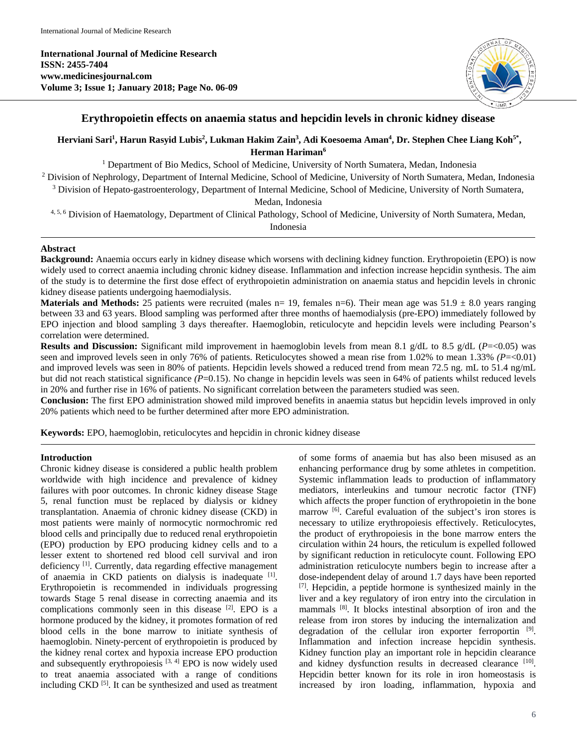**International Journal of Medicine Research ISSN: 2455-7404 www.medicinesjournal.com Volume 3; Issue 1; January 2018; Page No. 06-09**



# **Erythropoietin effects on anaemia status and hepcidin levels in chronic kidney disease**

# **Herviani Sari1 , Harun Rasyid Lubis2 , Lukman Hakim Zain3 , Adi Koesoema Aman4 , Dr. Stephen Chee Liang Koh5\* , Herman Hariman6**

<sup>1</sup> Department of Bio Medics, School of Medicine, University of North Sumatera, Medan, Indonesia

<sup>2</sup> Division of Nephrology, Department of Internal Medicine, School of Medicine, University of North Sumatera, Medan, Indonesia

<sup>3</sup> Division of Hepato-gastroenterology, Department of Internal Medicine, School of Medicine, University of North Sumatera, Medan, Indonesia

4, 5, 6 Division of Haematology, Department of Clinical Pathology, School of Medicine, University of North Sumatera, Medan, Indonesia

### **Abstract**

**Background:** Anaemia occurs early in kidney disease which worsens with declining kidney function. Erythropoietin (EPO) is now widely used to correct anaemia including chronic kidney disease. Inflammation and infection increase hepcidin synthesis. The aim of the study is to determine the first dose effect of erythropoietin administration on anaemia status and hepcidin levels in chronic kidney disease patients undergoing haemodialysis.

**Materials and Methods:** 25 patients were recruited (males  $n=19$ , females  $n=6$ ). Their mean age was  $51.9 \pm 8.0$  years ranging between 33 and 63 years. Blood sampling was performed after three months of haemodialysis (pre-EPO) immediately followed by EPO injection and blood sampling 3 days thereafter. Haemoglobin, reticulocyte and hepcidin levels were including Pearson's correlation were determined.

**Results and Discussion:** Significant mild improvement in haemoglobin levels from mean 8.1 g/dL to 8.5 g/dL (*P*=<0.05) was seen and improved levels seen in only 76% of patients. Reticulocytes showed a mean rise from 1.02% to mean 1.33% *(P*=<0.01) and improved levels was seen in 80% of patients. Hepcidin levels showed a reduced trend from mean 72.5 ng. mL to 51.4 ng/mL but did not reach statistical significance (P=0.15). No change in hepcidin levels was seen in 64% of patients whilst reduced levels in 20% and further rise in 16% of patients. No significant correlation between the parameters studied was seen.

**Conclusion:** The first EPO administration showed mild improved benefits in anaemia status but hepcidin levels improved in only 20% patients which need to be further determined after more EPO administration.

**Keywords:** EPO, haemoglobin, reticulocytes and hepcidin in chronic kidney disease

#### **Introduction**

Chronic kidney disease is considered a public health problem worldwide with high incidence and prevalence of kidney failures with poor outcomes. In chronic kidney disease Stage 5, renal function must be replaced by dialysis or kidney transplantation. Anaemia of chronic kidney disease (CKD) in most patients were mainly of normocytic normochromic red blood cells and principally due to reduced renal erythropoietin (EPO) production by EPO producing kidney cells and to a lesser extent to shortened red blood cell survival and iron deficiency<sup>[1]</sup>. Currently, data regarding effective management of anaemia in CKD patients on dialysis is inadequate [1]. Erythropoietin is recommended in individuals progressing towards Stage 5 renal disease in correcting anaemia and its complications commonly seen in this disease <sup>[2]</sup>. EPO is a hormone produced by the kidney, it promotes formation of red blood cells in the bone marrow to initiate synthesis of haemoglobin. Ninety-percent of erythropoietin is produced by the kidney renal cortex and hypoxia increase EPO production and subsequently erythropoiesis  $[3, 4]$  EPO is now widely used to treat anaemia associated with a range of conditions including CKD<sup>[5]</sup>. It can be synthesized and used as treatment of some forms of anaemia but has also been misused as an enhancing performance drug by some athletes in competition. Systemic inflammation leads to production of inflammatory mediators, interleukins and tumour necrotic factor (TNF) which affects the proper function of erythropoietin in the bone marrow <sup>[6]</sup>. Careful evaluation of the subject's iron stores is necessary to utilize erythropoiesis effectively. Reticulocytes, the product of erythropoiesis in the bone marrow enters the circulation within 24 hours, the reticulum is expelled followed by significant reduction in reticulocyte count. Following EPO administration reticulocyte numbers begin to increase after a dose-independent delay of around 1.7 days have been reported [7]. Hepcidin, a peptide hormone is synthesized mainly in the liver and a key regulatory of iron entry into the circulation in mammals<sup>[8]</sup>. It blocks intestinal absorption of iron and the release from iron stores by inducing the internalization and degradation of the cellular iron exporter ferroportin [9]. Inflammation and infection increase hepcidin synthesis. Kidney function play an important role in hepcidin clearance and kidney dysfunction results in decreased clearance [10]. Hepcidin better known for its role in iron homeostasis is increased by iron loading, inflammation, hypoxia and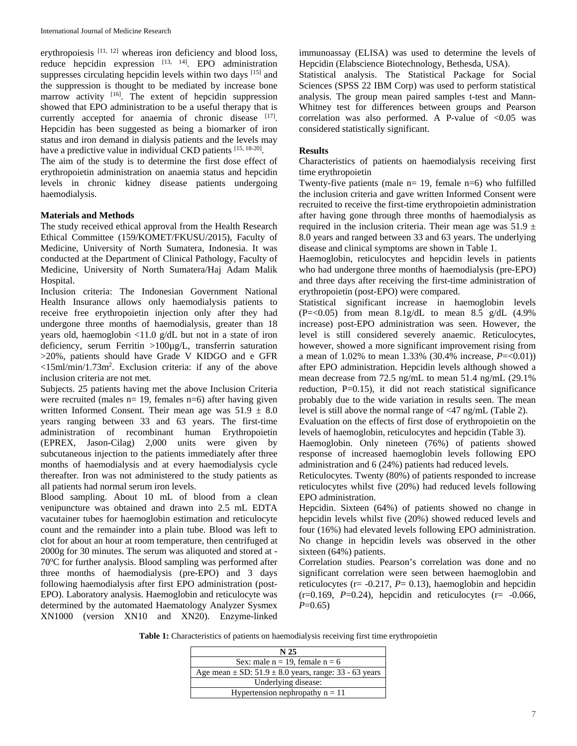erythropoiesis [11, 12] whereas iron deficiency and blood loss, reduce hepcidin expression  $[13, 14]$ . EPO administration suppresses circulating hepcidin levels within two days [15] and the suppression is thought to be mediated by increase bone marrow activity  $[16]$ . The extent of hepcidin suppression showed that EPO administration to be a useful therapy that is currently accepted for anaemia of chronic disease [17]. Hepcidin has been suggested as being a biomarker of iron status and iron demand in dialysis patients and the levels may have a predictive value in individual CKD patients [15, 18-20].

The aim of the study is to determine the first dose effect of erythropoietin administration on anaemia status and hepcidin levels in chronic kidney disease patients undergoing haemodialysis.

#### **Materials and Methods**

The study received ethical approval from the Health Research Ethical Committee (159/KOMET/FKUSU/2015), Faculty of Medicine, University of North Sumatera, Indonesia. It was conducted at the Department of Clinical Pathology, Faculty of Medicine, University of North Sumatera/Haj Adam Malik Hospital.

Inclusion criteria: The Indonesian Government National Health Insurance allows only haemodialysis patients to receive free erythropoietin injection only after they had undergone three months of haemodialysis, greater than 18 years old, haemoglobin <11.0 g/dL but not in a state of iron deficiency, serum Ferritin >100µg/L, transferrin saturation >20%, patients should have Grade V KIDGO and e GFR <15ml/min/1.73m2 . Exclusion criteria: if any of the above inclusion criteria are not met.

Subjects. 25 patients having met the above Inclusion Criteria were recruited (males  $n= 19$ , females  $n=6$ ) after having given written Informed Consent. Their mean age was  $51.9 \pm 8.0$ years ranging between 33 and 63 years. The first-time administration of recombinant human Erythropoietin (EPREX, Jason-Cilag) 2,000 units were given by subcutaneous injection to the patients immediately after three months of haemodialysis and at every haemodialysis cycle thereafter. Iron was not administered to the study patients as all patients had normal serum iron levels.

Blood sampling. About 10 mL of blood from a clean venipuncture was obtained and drawn into 2.5 mL EDTA vacutainer tubes for haemoglobin estimation and reticulocyte count and the remainder into a plain tube. Blood was left to clot for about an hour at room temperature, then centrifuged at 2000g for 30 minutes. The serum was aliquoted and stored at - 70°C for further analysis. Blood sampling was performed after three months of haemodialysis (pre-EPO) and 3 days following haemodialysis after first EPO administration (post-EPO). Laboratory analysis. Haemoglobin and reticulocyte was determined by the automated Haematology Analyzer Sysmex XN1000 (version XN10 and XN20). Enzyme-linked

immunoassay (ELISA) was used to determine the levels of Hepcidin (Elabscience Biotechnology, Bethesda, USA).

Statistical analysis. The Statistical Package for Social Sciences (SPSS 22 IBM Corp) was used to perform statistical analysis. The group mean paired samples t-test and Mann-Whitney test for differences between groups and Pearson correlation was also performed. A P-value of  $< 0.05$  was considered statistically significant.

### **Results**

Characteristics of patients on haemodialysis receiving first time erythropoietin

Twenty-five patients (male  $n=19$ , female  $n=6$ ) who fulfilled the inclusion criteria and gave written Informed Consent were recruited to receive the first-time erythropoietin administration after having gone through three months of haemodialysis as required in the inclusion criteria. Their mean age was  $51.9 \pm$ 8.0 years and ranged between 33 and 63 years. The underlying disease and clinical symptoms are shown in Table 1.

Haemoglobin, reticulocytes and hepcidin levels in patients who had undergone three months of haemodialysis (pre-EPO) and three days after receiving the first-time administration of erythropoietin (post-EPO) were compared.

Statistical significant increase in haemoglobin levels  $(P=<0.05)$  from mean 8.1g/dL to mean 8.5 g/dL  $(4.9\%$ increase) post-EPO administration was seen. However, the level is still considered severely anaemic. Reticulocytes, however, showed a more significant improvement rising from a mean of 1.02% to mean 1.33% (30.4% increase, *P*=<0.01)) after EPO administration. Hepcidin levels although showed a mean decrease from 72.5 ng/mL to mean 51.4 ng/mL (29.1% reduction, P=0.15), it did not reach statistical significance probably due to the wide variation in results seen. The mean level is still above the normal range of <47 ng/mL (Table 2).

Evaluation on the effects of first dose of erythropoietin on the levels of haemoglobin, reticulocytes and hepcidin (Table 3).

Haemoglobin. Only nineteen (76%) of patients showed response of increased haemoglobin levels following EPO administration and 6 (24%) patients had reduced levels.

Reticulocytes. Twenty (80%) of patients responded to increase reticulocytes whilst five (20%) had reduced levels following EPO administration.

Hepcidin. Sixteen (64%) of patients showed no change in hepcidin levels whilst five (20%) showed reduced levels and four (16%) had elevated levels following EPO administration. No change in hepcidin levels was observed in the other sixteen (64%) patients.

Correlation studies. Pearson's correlation was done and no significant correlation were seen between haemoglobin and reticulocytes ( $r = -0.217$ ,  $P = 0.13$ ), haemoglobin and hepcidin  $(r=0.169, P=0.24)$ , hepcidin and reticulocytes  $(r=-0.066, P=0.064)$ *P*=0.65)

**Table 1:** Characteristics of patients on haemodialysis receiving first time erythropoietin

| N <sub>25</sub>                                               |
|---------------------------------------------------------------|
| Sex: male $n = 19$ , female $n = 6$                           |
| Age mean $\pm$ SD: 51.9 $\pm$ 8.0 years, range: 33 - 63 years |
| Underlying disease:                                           |
| Hypertension nephropathy $n = 11$                             |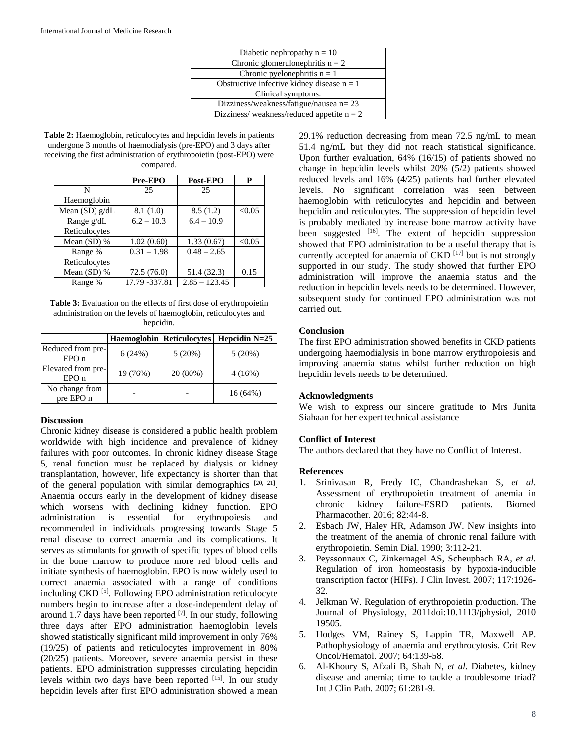| Diabetic nephropathy $n = 10$                |  |
|----------------------------------------------|--|
| Chronic glomerulonephritis $n = 2$           |  |
| Chronic pyelonephritis $n = 1$               |  |
| Obstructive infective kidney disease $n = 1$ |  |
| Clinical symptoms:                           |  |
| Dizziness/weakness/fatigue/nausea $n = 23$   |  |
| Dizziness/weakness/reduced appetite $n = 2$  |  |

Table 2: Haemoglobin, reticulocytes and hepcidin levels in patients undergone 3 months of haemodialysis (pre-EPO) and 3 days after receiving the first administration of erythropoietin (post-EPO) were compared.

|                  | Pre-EPO        | Post-EPO        | P      |
|------------------|----------------|-----------------|--------|
| N                | 25             | 25              |        |
| Haemoglobin      |                |                 |        |
| Mean $(SD)$ g/dL | 8.1(1.0)       | 8.5(1.2)        | < 0.05 |
| Range g/dL       | $6.2 - 10.3$   | $6.4 - 10.9$    |        |
| Reticulocytes    |                |                 |        |
| Mean $(SD)$ %    | 1.02(0.60)     | 1.33(0.67)      | < 0.05 |
| Range %          | $0.31 - 1.98$  | $0.48 - 2.65$   |        |
| Reticulocytes    |                |                 |        |
| Mean $(SD)$ %    | 72.5(76.0)     | 51.4 (32.3)     | 0.15   |
| Range %          | 17.79 - 337.81 | $2.85 - 123.45$ |        |

Table 3: Evaluation on the effects of first dose of erythropoietin administration on the levels of haemoglobin, reticulocytes and hepcidin.

|                             |          | <b>Haemoglobin</b> Reticulocytes | Hepcidin $N=25$ |
|-----------------------------|----------|----------------------------------|-----------------|
| Reduced from pre-<br>EPOn   | 6(24%)   | 5(20%)                           | 5(20%)          |
| Elevated from pre-<br>EPOn  | 19 (76%) | 20 (80%)                         | 4(16%)          |
| No change from<br>pre EPO n |          |                                  | $16(64\%)$      |

#### **Discussion**

Chronic kidney disease is considered a public health problem worldwide with high incidence and prevalence of kidney failures with poor outcomes. In chronic kidney disease Stage 5, renal function must be replaced by dialysis or kidney transplantation, however, life expectancy is shorter than that of the general population with similar demographics  $[20, 21]$ . Anaemia occurs early in the development of kidney disease which worsens with declining kidney function. EPO administration is essential for erythropoiesis and recommended in individuals progressing towards Stage 5 renal disease to correct anaemia and its complications. It serves as stimulants for growth of specific types of blood cells in the bone marrow to produce more red blood cells and initiate synthesis of haemoglobin. EPO is now widely used to correct anaemia associated with a range of conditions including CKD<sup>[5]</sup>. Following EPO administration reticulocyte numbers begin to increase after a dose-independent delay of around 1.7 days have been reported  $[7]$ . In our study, following three days after EPO administration haemoglobin levels showed statistically significant mild improvement in only 76% (19/25) of patients and reticulocytes improvement in 80% (20/25) patients. Moreover, severe anaemia persist in these patients. EPO administration suppresses circulating hepcidin levels within two days have been reported [15]. In our study hepcidin levels after first EPO administration showed a mean 29.1% reduction decreasing from mean 72.5 ng/mL to mean 51.4 ng/mL but they did not reach statistical significance. Upon further evaluation, 64% (16/15) of patients showed no change in hepcidin levels whilst 20% (5/2) patients showed reduced levels and 16% (4/25) patients had further elevated levels. No significant correlation was seen between haemoglobin with reticulocytes and hepcidin and between hepcidin and reticulocytes. The suppression of hepcidin level is probably mediated by increase bone marrow activity have been suggested <sup>[16]</sup>. The extent of hepcidin suppression showed that EPO administration to be a useful therapy that is currently accepted for anaemia of  $CKD$  [17] but is not strongly supported in our study. The study showed that further EPO administration will improve the anaemia status and the reduction in hepcidin levels needs to be determined. However, subsequent study for continued EPO administration was not carried out.

## **Conclusion**

The first EPO administration showed benefits in CKD patients undergoing haemodialysis in bone marrow erythropoiesis and improving anaemia status whilst further reduction on high hepcidin levels needs to be determined.

## **Acknowledgments**

We wish to express our sincere gratitude to Mrs Junita Siahaan for her expert technical assistance

## **Conflict of Interest**

The authors declared that they have no Conflict of Interest.

## **References**

- 1. Srinivasan R, Fredy IC, Chandrashekan S, *et al*. Assessment of erythropoietin treatment of anemia in chronic kidney failure-ESRD patients. Biomed Pharmacother. 2016; 82:44-8.
- 2. Esbach JW, Haley HR, Adamson JW. New insights into the treatment of the anemia of chronic renal failure with erythropoietin. Semin Dial. 1990; 3:112-21.
- 3. Peyssonnaux C, Zinkernagel AS, Scheupbach RA, *et al*. Regulation of iron homeostasis by hypoxia-inducible transcription factor (HIFs). J Clin Invest. 2007; 117:1926- 32.
- 4. Jelkman W. Regulation of erythropoietin production. The Journal of Physiology, 2011doi:10.1113/jphysiol, 2010 19505.
- 5. Hodges VM, Rainey S, Lappin TR, Maxwell AP. Pathophysiology of anaemia and erythrocytosis. Crit Rev Oncol/Hematol. 2007; 64:139-58.
- 6. Al-Khoury S, Afzali B, Shah N, *et al*. Diabetes, kidney disease and anemia; time to tackle a troublesome triad? Int J Clin Path. 2007; 61:281-9.